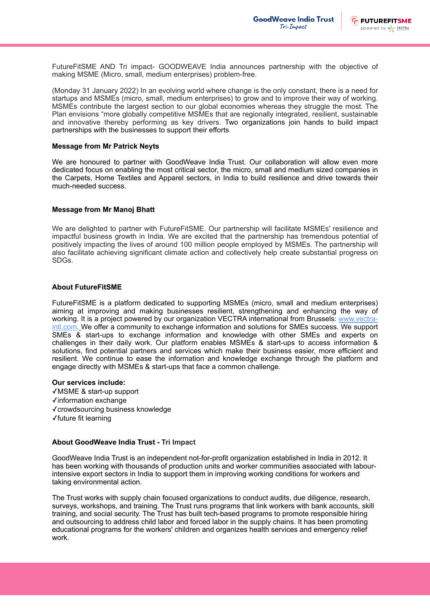

FutureFitSME AND Tri impact- GOODWEAVE India announces partnership with the objective of making MSME (Micro, small, medium enterprises) problem-free.

(Monday 31 January 2022) In an evolving world where change is the only constant, there is a need for startups and MSMEs (micro, small, medium enterprises) to grow and to improve their way of working. MSMEs contribute the largest section to our global economies whereas they struggle the most. The Plan envisions "more globally competitive MSMEs that are regionally integrated, resilient, sustainable and innovative thereby performing as key drivers. Two organizations join hands to build impact partnerships with the businesses to support their efforts.

### **Message from Mr Patrick Neyts**

We are honoured to partner with GoodWeave India Trust. Our collaboration will allow even more dedicated focus on enabling the most critical sector, the micro, small and medium sized companies in the Carpets, Home Textiles and Apparel sectors, in India to build resilience and drive towards their much-needed success.

### **Message from Mr Manoj Bhatt**

We are delighted to partner with FutureFitSME. Our partnership will facilitate MSMEs' resilience and impactful business growth in India. We are excited that the partnership has tremendous potential of positively impacting the lives of around 100 million people employed by MSMEs. The partnership will also facilitate achieving significant climate action and collectively help create substantial progress on SDGs.

# **About FutureFitSME**

FutureFitSME is a platform dedicated to supporting MSMEs (micro, small and medium enterprises) aiming at improving and making businesses resilient, strengthening and enhancing the way of working. It is a project powered by our organization VECTRA international from Brussels: [www.vectra](http://www.vectra-intl.com/)[intl.com](http://www.vectra-intl.com/). We offer a community to exchange information and solutions for SMEs success. We support SMEs & start-ups to exchange information and knowledge with other SMEs and experts on challenges in their daily work. Our platform enables MSMEs & start-ups to access information & solutions, find potential partners and services which make their business easier, more efficient and resilient. We continue to ease the information and knowledge exchange through the platform and engage directly with MSMEs & start-ups that face a common challenge.

# **Our services include:**

✓MSME & start-up support ✓information exchange ✓crowdsourcing business knowledge ✓future fit learning

# **About GoodWeave India Trust - Tri Impact**

GoodWeave India Trust is an independent not-for-profit organization established in India in 2012. It has been working with thousands of production units and worker communities associated with labourintensive export sectors in India to support them in improving working conditions for workers and taking environmental action.

The Trust works with supply chain focused organizations to conduct audits, due diligence, research, surveys, workshops, and training. The Trust runs programs that link workers with bank accounts, skill training, and social security. The Trust has built tech-based programs to promote responsible hiring and outsourcing to address child labor and forced labor in the supply chains. It has been promoting educational programs for the workers' children and organizes health services and emergency relief work.